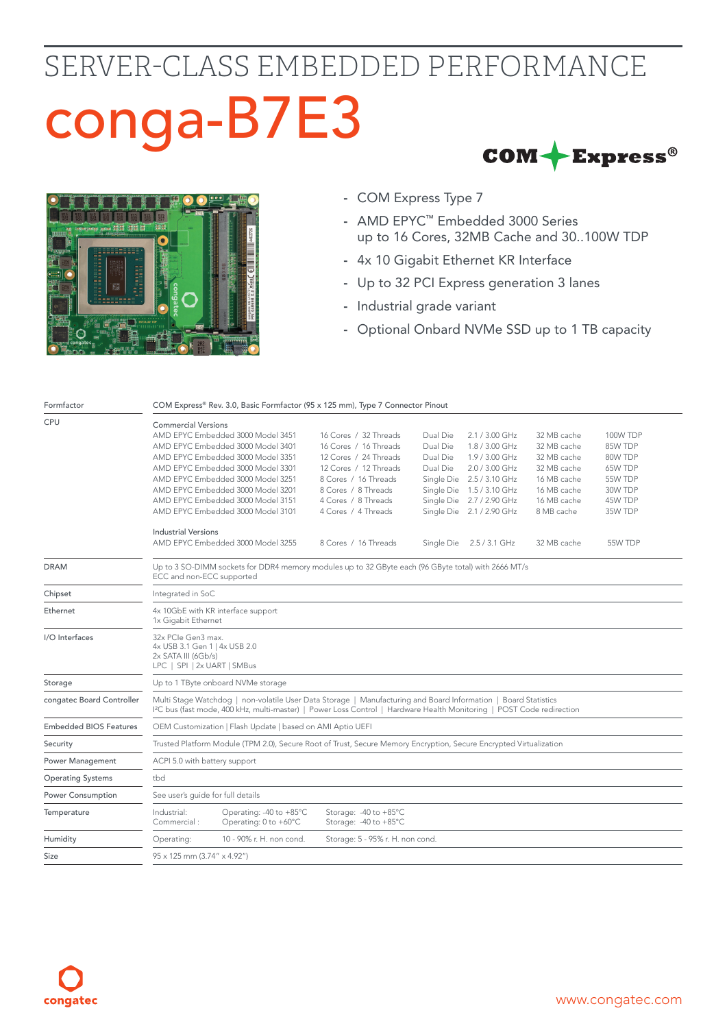## SERVER-CLASS EMBEDDED PERFORMANCE conga-B7E3 $COM + Express^{\circ}$



- COM Express Type 7
- AMD EPYC™ Embedded 3000 Series up to 16 Cores, 32MB Cache and 30..100W TDP
- 4x 10 Gigabit Ethernet KR Interface
- Up to 32 PCI Express generation 3 lanes
- Industrial grade variant
- Optional Onbard NVMe SSD up to 1 TB capacity

| CPU<br><b>Commercial Versions</b><br>AMD EPYC Embedded 3000 Model 3451<br>16 Cores / 32 Threads<br>Dual Die<br>2.1 / 3.00 GHz<br>32 MB cache<br><b>100W TDP</b><br>AMD EPYC Embedded 3000 Model 3401<br>16 Cores / 16 Threads<br>Dual Die<br>1.8 / 3.00 GHz<br>32 MB cache<br>85W TDP<br>12 Cores / 24 Threads<br>1.9 / 3.00 GHz<br>32 MB cache<br>AMD EPYC Embedded 3000 Model 3351<br>Dual Die<br>80W TDP<br>AMD EPYC Embedded 3000 Model 3301<br>12 Cores / 12 Threads<br>Dual Die<br>2.0 / 3.00 GHz<br>32 MB cache<br>65W TDP<br>AMD EPYC Embedded 3000 Model 3251<br>8 Cores / 16 Threads<br>Single Die 2.5 / 3.10 GHz<br>16 MB cache<br>55W TDP<br>AMD EPYC Embedded 3000 Model 3201<br>8 Cores / 8 Threads<br>Single Die 1.5 / 3.10 GHz<br>16 MB cache<br>30W TDP<br>AMD EPYC Embedded 3000 Model 3151<br>Single Die 2.7 / 2.90 GHz<br>4 Cores / 8 Threads<br>16 MB cache<br>45W TDP<br>AMD EPYC Embedded 3000 Model 3101<br>4 Cores / 4 Threads<br>Single Die 2.1 / 2.90 GHz<br>8 MB cache<br>35W TDP<br><b>Industrial Versions</b><br>AMD EPYC Embedded 3000 Model 3255<br>8 Cores / 16 Threads<br>Single Die 2.5 / 3.1 GHz<br>32 MB cache<br>55W TDP<br><b>DRAM</b><br>Up to 3 SO-DIMM sockets for DDR4 memory modules up to 32 GByte each (96 GByte total) with 2666 MT/s<br>ECC and non-ECC supported<br>Integrated in SoC<br>Chipset<br>Ethernet<br>4x 10GbE with KR interface support<br>1x Gigabit Ethernet<br>I/O Interfaces<br>32x PCIe Gen3 max.<br>4x USB 3.1 Gen 1   4x USB 2.0<br>$2x$ SATA III (6Gb/s)<br>LPC   SPI   2x UART   SMBus<br>Storage<br>Up to 1 TByte onboard NVMe storage<br>Multi Stage Watchdog   non-volatile User Data Storage   Manufacturing and Board Information   Board Statistics<br>congatec Board Controller<br>12C bus (fast mode, 400 kHz, multi-master)   Power Loss Control   Hardware Health Monitoring   POST Code redirection<br><b>Embedded BIOS Features</b><br>OEM Customization   Flash Update   based on AMI Aptio UEFI<br>Trusted Platform Module (TPM 2.0), Secure Root of Trust, Secure Memory Encryption, Secure Encrypted Virtualization<br>Security<br><b>Power Management</b><br>ACPI 5.0 with battery support<br>tbd<br><b>Operating Systems</b><br>See user's guide for full details<br>Power Consumption<br>Operating: -40 to +85°C<br>Storage: - 40 to +85°C<br>Industrial:<br>Temperature<br>Commercial:<br>Operating: 0 to +60°C<br>Storage: -40 to +85°C<br>Humidity<br>10 - 90% r. H. non cond.<br>Storage: 5 - 95% r. H. non cond.<br>Operating:<br>95 x 125 mm (3.74" x 4.92")<br>Size | Formfactor | COM Express® Rev. 3.0, Basic Formfactor (95 x 125 mm), Type 7 Connector Pinout |  |  |  |  |  |  |  |
|--------------------------------------------------------------------------------------------------------------------------------------------------------------------------------------------------------------------------------------------------------------------------------------------------------------------------------------------------------------------------------------------------------------------------------------------------------------------------------------------------------------------------------------------------------------------------------------------------------------------------------------------------------------------------------------------------------------------------------------------------------------------------------------------------------------------------------------------------------------------------------------------------------------------------------------------------------------------------------------------------------------------------------------------------------------------------------------------------------------------------------------------------------------------------------------------------------------------------------------------------------------------------------------------------------------------------------------------------------------------------------------------------------------------------------------------------------------------------------------------------------------------------------------------------------------------------------------------------------------------------------------------------------------------------------------------------------------------------------------------------------------------------------------------------------------------------------------------------------------------------------------------------------------------------------------------------------------------------------------------------------------------------------------------------------------------------------------------------------------------------------------------------------------------------------------------------------------------------------------------------------------------------------------------------------------------------------------------------------------------------------------------------------------------------------------------------------------------------------------------------------------------------------------------------------------------|------------|--------------------------------------------------------------------------------|--|--|--|--|--|--|--|
|                                                                                                                                                                                                                                                                                                                                                                                                                                                                                                                                                                                                                                                                                                                                                                                                                                                                                                                                                                                                                                                                                                                                                                                                                                                                                                                                                                                                                                                                                                                                                                                                                                                                                                                                                                                                                                                                                                                                                                                                                                                                                                                                                                                                                                                                                                                                                                                                                                                                                                                                                                    |            |                                                                                |  |  |  |  |  |  |  |
|                                                                                                                                                                                                                                                                                                                                                                                                                                                                                                                                                                                                                                                                                                                                                                                                                                                                                                                                                                                                                                                                                                                                                                                                                                                                                                                                                                                                                                                                                                                                                                                                                                                                                                                                                                                                                                                                                                                                                                                                                                                                                                                                                                                                                                                                                                                                                                                                                                                                                                                                                                    |            |                                                                                |  |  |  |  |  |  |  |
|                                                                                                                                                                                                                                                                                                                                                                                                                                                                                                                                                                                                                                                                                                                                                                                                                                                                                                                                                                                                                                                                                                                                                                                                                                                                                                                                                                                                                                                                                                                                                                                                                                                                                                                                                                                                                                                                                                                                                                                                                                                                                                                                                                                                                                                                                                                                                                                                                                                                                                                                                                    |            |                                                                                |  |  |  |  |  |  |  |
|                                                                                                                                                                                                                                                                                                                                                                                                                                                                                                                                                                                                                                                                                                                                                                                                                                                                                                                                                                                                                                                                                                                                                                                                                                                                                                                                                                                                                                                                                                                                                                                                                                                                                                                                                                                                                                                                                                                                                                                                                                                                                                                                                                                                                                                                                                                                                                                                                                                                                                                                                                    |            |                                                                                |  |  |  |  |  |  |  |
|                                                                                                                                                                                                                                                                                                                                                                                                                                                                                                                                                                                                                                                                                                                                                                                                                                                                                                                                                                                                                                                                                                                                                                                                                                                                                                                                                                                                                                                                                                                                                                                                                                                                                                                                                                                                                                                                                                                                                                                                                                                                                                                                                                                                                                                                                                                                                                                                                                                                                                                                                                    |            |                                                                                |  |  |  |  |  |  |  |
|                                                                                                                                                                                                                                                                                                                                                                                                                                                                                                                                                                                                                                                                                                                                                                                                                                                                                                                                                                                                                                                                                                                                                                                                                                                                                                                                                                                                                                                                                                                                                                                                                                                                                                                                                                                                                                                                                                                                                                                                                                                                                                                                                                                                                                                                                                                                                                                                                                                                                                                                                                    |            |                                                                                |  |  |  |  |  |  |  |
|                                                                                                                                                                                                                                                                                                                                                                                                                                                                                                                                                                                                                                                                                                                                                                                                                                                                                                                                                                                                                                                                                                                                                                                                                                                                                                                                                                                                                                                                                                                                                                                                                                                                                                                                                                                                                                                                                                                                                                                                                                                                                                                                                                                                                                                                                                                                                                                                                                                                                                                                                                    |            |                                                                                |  |  |  |  |  |  |  |
|                                                                                                                                                                                                                                                                                                                                                                                                                                                                                                                                                                                                                                                                                                                                                                                                                                                                                                                                                                                                                                                                                                                                                                                                                                                                                                                                                                                                                                                                                                                                                                                                                                                                                                                                                                                                                                                                                                                                                                                                                                                                                                                                                                                                                                                                                                                                                                                                                                                                                                                                                                    |            |                                                                                |  |  |  |  |  |  |  |
|                                                                                                                                                                                                                                                                                                                                                                                                                                                                                                                                                                                                                                                                                                                                                                                                                                                                                                                                                                                                                                                                                                                                                                                                                                                                                                                                                                                                                                                                                                                                                                                                                                                                                                                                                                                                                                                                                                                                                                                                                                                                                                                                                                                                                                                                                                                                                                                                                                                                                                                                                                    |            |                                                                                |  |  |  |  |  |  |  |
|                                                                                                                                                                                                                                                                                                                                                                                                                                                                                                                                                                                                                                                                                                                                                                                                                                                                                                                                                                                                                                                                                                                                                                                                                                                                                                                                                                                                                                                                                                                                                                                                                                                                                                                                                                                                                                                                                                                                                                                                                                                                                                                                                                                                                                                                                                                                                                                                                                                                                                                                                                    |            |                                                                                |  |  |  |  |  |  |  |
|                                                                                                                                                                                                                                                                                                                                                                                                                                                                                                                                                                                                                                                                                                                                                                                                                                                                                                                                                                                                                                                                                                                                                                                                                                                                                                                                                                                                                                                                                                                                                                                                                                                                                                                                                                                                                                                                                                                                                                                                                                                                                                                                                                                                                                                                                                                                                                                                                                                                                                                                                                    |            |                                                                                |  |  |  |  |  |  |  |
|                                                                                                                                                                                                                                                                                                                                                                                                                                                                                                                                                                                                                                                                                                                                                                                                                                                                                                                                                                                                                                                                                                                                                                                                                                                                                                                                                                                                                                                                                                                                                                                                                                                                                                                                                                                                                                                                                                                                                                                                                                                                                                                                                                                                                                                                                                                                                                                                                                                                                                                                                                    |            |                                                                                |  |  |  |  |  |  |  |
|                                                                                                                                                                                                                                                                                                                                                                                                                                                                                                                                                                                                                                                                                                                                                                                                                                                                                                                                                                                                                                                                                                                                                                                                                                                                                                                                                                                                                                                                                                                                                                                                                                                                                                                                                                                                                                                                                                                                                                                                                                                                                                                                                                                                                                                                                                                                                                                                                                                                                                                                                                    |            |                                                                                |  |  |  |  |  |  |  |
|                                                                                                                                                                                                                                                                                                                                                                                                                                                                                                                                                                                                                                                                                                                                                                                                                                                                                                                                                                                                                                                                                                                                                                                                                                                                                                                                                                                                                                                                                                                                                                                                                                                                                                                                                                                                                                                                                                                                                                                                                                                                                                                                                                                                                                                                                                                                                                                                                                                                                                                                                                    |            |                                                                                |  |  |  |  |  |  |  |
|                                                                                                                                                                                                                                                                                                                                                                                                                                                                                                                                                                                                                                                                                                                                                                                                                                                                                                                                                                                                                                                                                                                                                                                                                                                                                                                                                                                                                                                                                                                                                                                                                                                                                                                                                                                                                                                                                                                                                                                                                                                                                                                                                                                                                                                                                                                                                                                                                                                                                                                                                                    |            |                                                                                |  |  |  |  |  |  |  |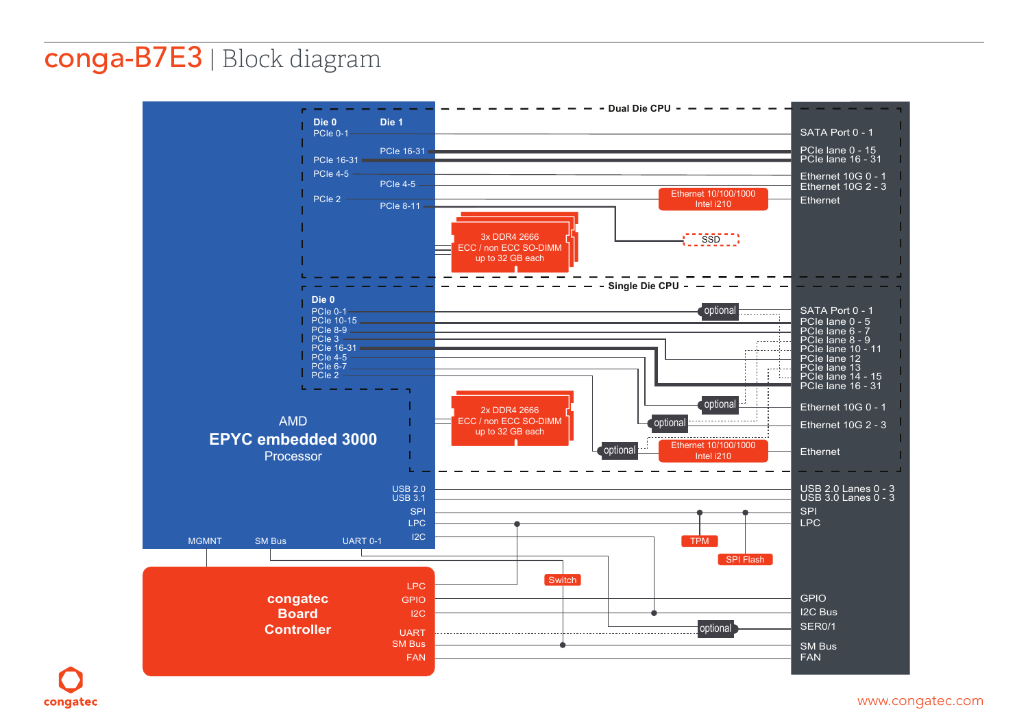## **conga-B7E3** | Block diagram